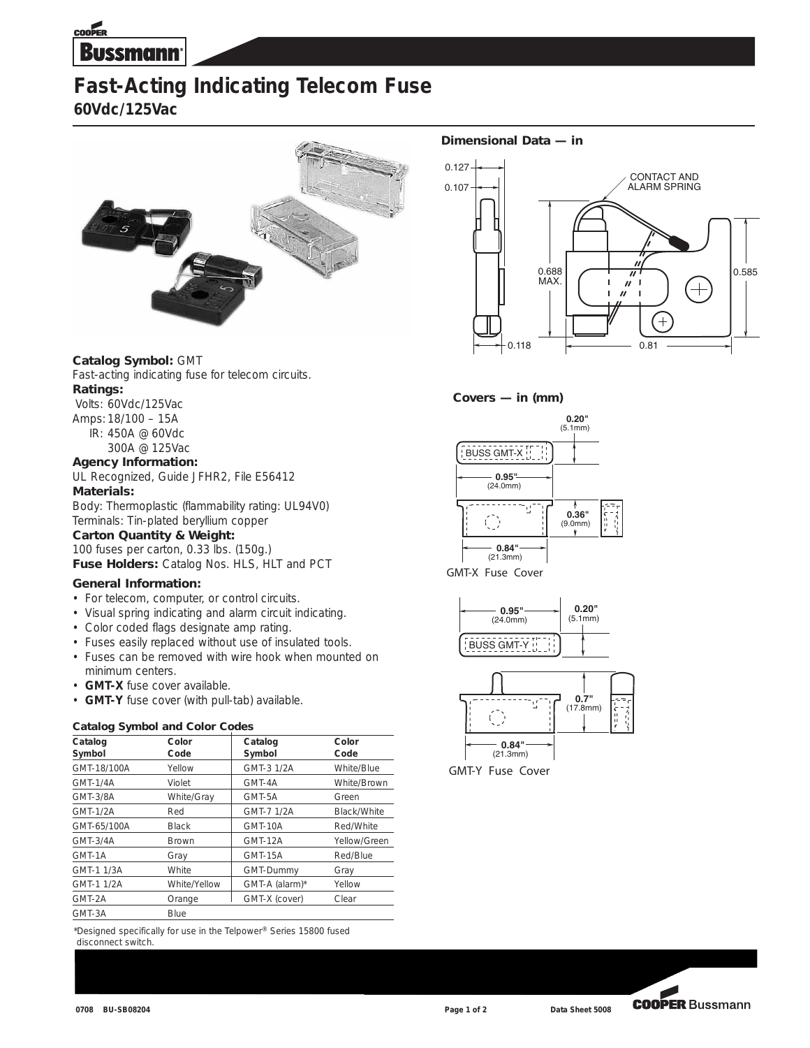

# **Fast-Acting Indicating Telecom Fuse**

# **60Vdc/125Vac**



### **Catalog Symbol:** GMT

Fast-acting indicating fuse for telecom circuits. **Ratings:**

# Volts: 60Vdc/125Vac

- Amps: 18/100 15A IR: 450A @ 60Vdc
	- 300A @ 125Vac

# **Agency Information:**

UL Recognized, Guide JFHR2, File E56412

#### **Materials:**

Body: Thermoplastic (flammability rating: UL94V0) Terminals: Tin-plated beryllium copper

### **Carton Quantity & Weight:**

100 fuses per carton, 0.33 lbs. (150g.) **Fuse Holders:** Catalog Nos. HLS, HLT and PCT

### **General Information:**

- For telecom, computer, or control circuits.
- Visual spring indicating and alarm circuit indicating.
- Color coded flags designate amp rating.
- Fuses easily replaced without use of insulated tools.
- Fuses can be removed with wire hook when mounted on minimum centers.
- **GMT-X** fuse cover available.
- **GMT-Y** fuse cover (with pull-tab) available.

### **Catalog Symbol and Color Codes**

| Color        | Catalog          | Color<br>Code |
|--------------|------------------|---------------|
|              |                  |               |
| Yellow       | GMT-3 1/2A       | White/Blue    |
| Violet       | GMT-4A           | White/Brown   |
| White/Gray   | GMT-5A           | Green         |
| Red          | GMT-7 1/2A       | Black/White   |
| <b>Black</b> | <b>GMT-10A</b>   | Red/White     |
| <b>Brown</b> | <b>GMT-12A</b>   | Yellow/Green  |
| Gray         | <b>GMT-15A</b>   | Red/Blue      |
| White        | <b>GMT-Dummy</b> | Gray          |
| White/Yellow | GMT-A (alarm)*   | Yellow        |
| Orange       | GMT-X (cover)    | Clear         |
| Blue         |                  |               |
|              | Code             | Symbol        |

\*Designed specifically for use in the Telpower® Series 15800 fused disconnect switch.

#### **Dimensional Data — in**



### **Covers — in (mm)**



**GMT-X Fuse Cover**





**GMT-Y Fuse Cover**